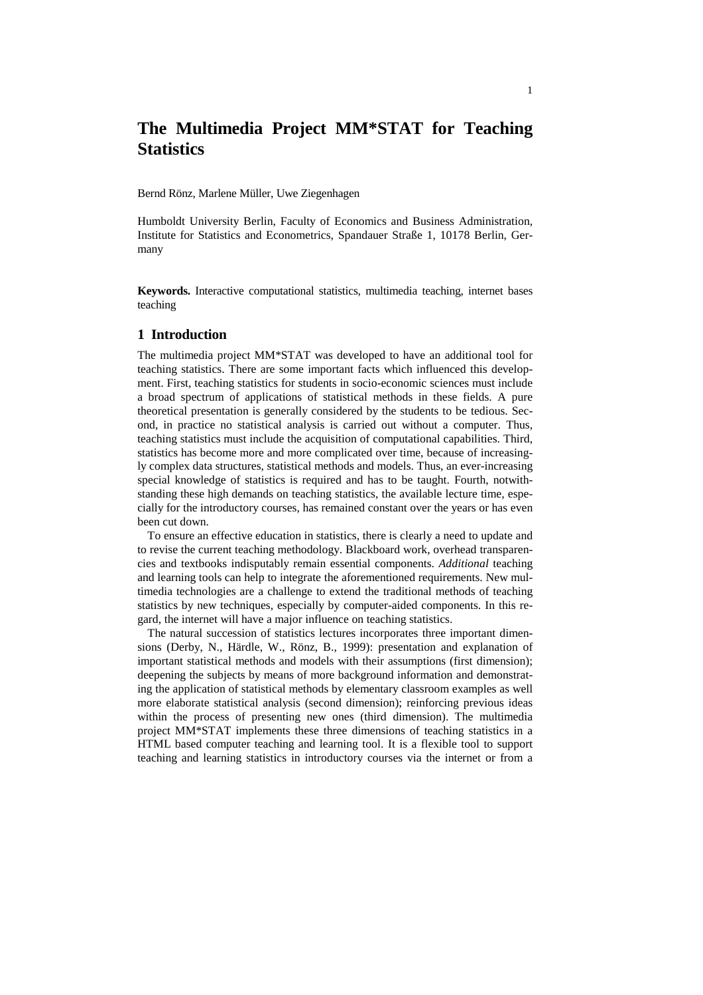# **The Multimedia Project MM\*STAT for Teaching Statistics**

Bernd Rönz, Marlene Müller, Uwe Ziegenhagen

Humboldt University Berlin, Faculty of Economics and Business Administration, Institute for Statistics and Econometrics, Spandauer Straße 1, 10178 Berlin, Germany

**Keywords.** Interactive computational statistics, multimedia teaching, internet bases teaching

# **1 Introduction**

The multimedia project MM\*STAT was developed to have an additional tool for teaching statistics. There are some important facts which influenced this development. First, teaching statistics for students in socio-economic sciences must include a broad spectrum of applications of statistical methods in these fields. A pure theoretical presentation is generally considered by the students to be tedious. Second, in practice no statistical analysis is carried out without a computer. Thus, teaching statistics must include the acquisition of computational capabilities. Third, statistics has become more and more complicated over time, because of increasingly complex data structures, statistical methods and models. Thus, an ever-increasing special knowledge of statistics is required and has to be taught. Fourth, notwithstanding these high demands on teaching statistics, the available lecture time, especially for the introductory courses, has remained constant over the years or has even been cut down.

To ensure an effective education in statistics, there is clearly a need to update and to revise the current teaching methodology. Blackboard work, overhead transparencies and textbooks indisputably remain essential components. *Additional* teaching and learning tools can help to integrate the aforementioned requirements. New multimedia technologies are a challenge to extend the traditional methods of teaching statistics by new techniques, especially by computer-aided components. In this regard, the internet will have a major influence on teaching statistics.

The natural succession of statistics lectures incorporates three important dimensions (Derby, N., Härdle, W., Rönz, B., 1999): presentation and explanation of important statistical methods and models with their assumptions (first dimension); deepening the subjects by means of more background information and demonstrating the application of statistical methods by elementary classroom examples as well more elaborate statistical analysis (second dimension); reinforcing previous ideas within the process of presenting new ones (third dimension). The multimedia project MM\*STAT implements these three dimensions of teaching statistics in a HTML based computer teaching and learning tool. It is a flexible tool to support teaching and learning statistics in introductory courses via the internet or from a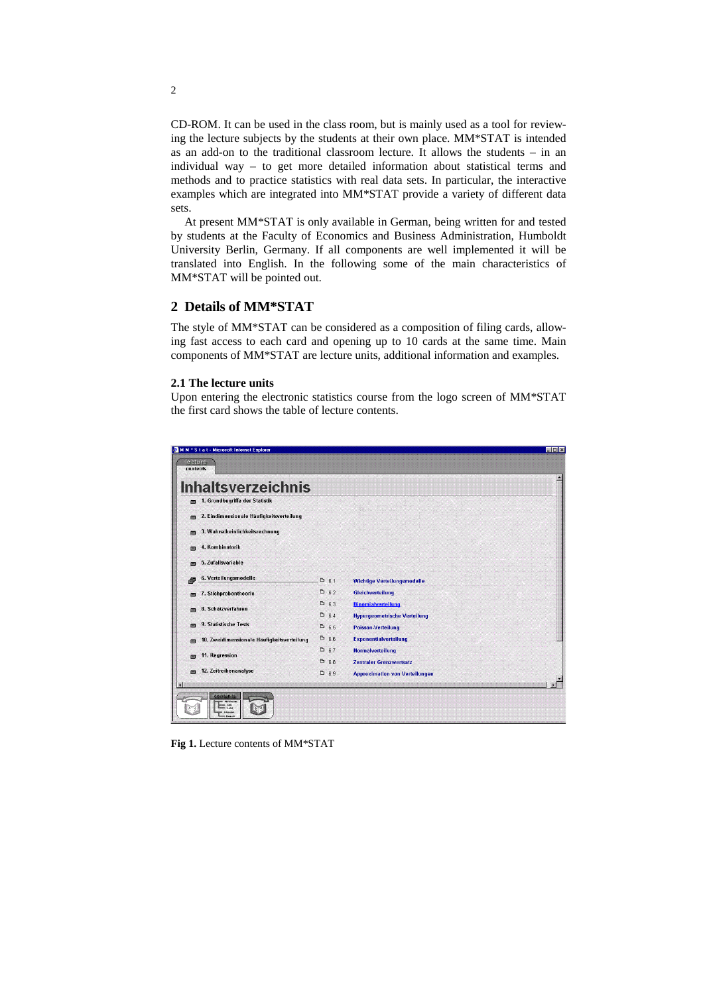CD-ROM. It can be used in the class room, but is mainly used as a tool for reviewing the lecture subjects by the students at their own place. MM\*STAT is intended as an add-on to the traditional classroom lecture. It allows the students – in an individual way – to get more detailed information about statistical terms and methods and to practice statistics with real data sets. In particular, the interactive examples which are integrated into MM\*STAT provide a variety of different data sets.

At present MM\*STAT is only available in German, being written for and tested by students at the Faculty of Economics and Business Administration, Humboldt University Berlin, Germany. If all components are well implemented it will be translated into English. In the following some of the main characteristics of MM\*STAT will be pointed out.

# **2 Details of MM\*STAT**

The style of MM\*STAT can be considered as a composition of filing cards, allowing fast access to each card and opening up to 10 cards at the same time. Main components of MM\*STAT are lecture units, additional information and examples.

### **2.1 The lecture units**

Upon entering the electronic statistics course from the logo screen of MM\*STAT the first card shows the table of lecture contents.

| <b>Inhaltsverzeichnis</b>                       |           |                                       |
|-------------------------------------------------|-----------|---------------------------------------|
| 1. Grundbegriffe der Statistik<br>画             |           |                                       |
| 2. Eindimensionale Häufigkeitsverteilung<br>画   |           |                                       |
| 3. Wahrscheinlichkeitsrechnung<br>S             |           |                                       |
| 4. Kombinatorik<br>画                            |           |                                       |
| 5. Zufallsvariable<br><b>STO</b>                |           |                                       |
| 6. Verteilungsmodelle<br>學                      | $D$ 6.1   | <b>Wichtige Verteilungsmodelle</b>    |
| 7. Stichprobentheorie<br><b>SHA</b>             | $D$ 6.2   | Gleichverteilung                      |
| 8. Schätzverfahren<br>353                       | $D_{6.3}$ | <b>Binomialverteilung</b>             |
|                                                 | $D$ 6.4   | <b>Hypergeometrische Verteilung</b>   |
| 9. Statistische Tests<br>图                      | $D$ 6.5   | <b>Poisson-Verteilung</b>             |
| 10. Zweidimensionale Häufigkeitsverteilung<br>國 | D6.6      | Exponentialverteilung                 |
| 11. Regression<br>SBS                           | $D$ 6.7   | <b>Normalverteilung</b>               |
|                                                 | D6.8      | <b>Zentraler Grenzwertsatz</b>        |
| 12. Zeitreihenanalyse<br>画                      | $D_{6.9}$ | <b>Approximation von Verteilungen</b> |

**Fig 1.** Lecture contents of MM\*STAT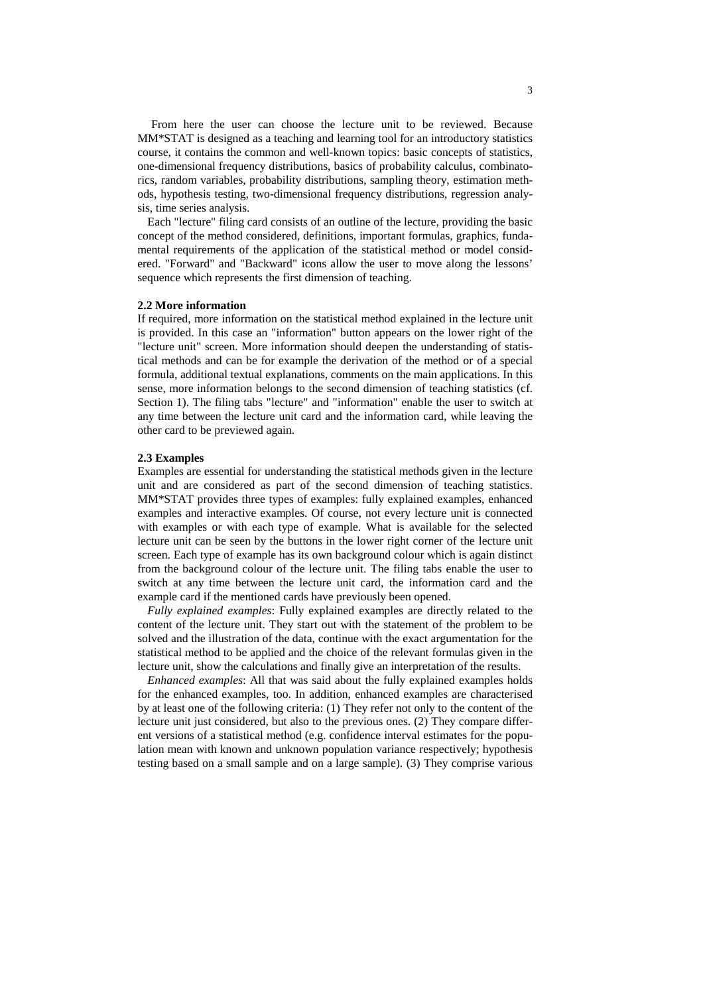From here the user can choose the lecture unit to be reviewed. Because MM\*STAT is designed as a teaching and learning tool for an introductory statistics course, it contains the common and well-known topics: basic concepts of statistics, one-dimensional frequency distributions, basics of probability calculus, combinatorics, random variables, probability distributions, sampling theory, estimation methods, hypothesis testing, two-dimensional frequency distributions, regression analysis, time series analysis.

Each "lecture" filing card consists of an outline of the lecture, providing the basic concept of the method considered, definitions, important formulas, graphics, fundamental requirements of the application of the statistical method or model considered. "Forward" and "Backward" icons allow the user to move along the lessons' sequence which represents the first dimension of teaching.

#### **2.2 More information**

If required, more information on the statistical method explained in the lecture unit is provided. In this case an "information" button appears on the lower right of the "lecture unit" screen. More information should deepen the understanding of statistical methods and can be for example the derivation of the method or of a special formula, additional textual explanations, comments on the main applications. In this sense, more information belongs to the second dimension of teaching statistics (cf. Section 1). The filing tabs "lecture" and "information" enable the user to switch at any time between the lecture unit card and the information card, while leaving the other card to be previewed again.

#### **2.3 Examples**

Examples are essential for understanding the statistical methods given in the lecture unit and are considered as part of the second dimension of teaching statistics. MM\*STAT provides three types of examples: fully explained examples, enhanced examples and interactive examples. Of course, not every lecture unit is connected with examples or with each type of example. What is available for the selected lecture unit can be seen by the buttons in the lower right corner of the lecture unit screen. Each type of example has its own background colour which is again distinct from the background colour of the lecture unit. The filing tabs enable the user to switch at any time between the lecture unit card, the information card and the example card if the mentioned cards have previously been opened.

*Fully explained examples*: Fully explained examples are directly related to the content of the lecture unit. They start out with the statement of the problem to be solved and the illustration of the data, continue with the exact argumentation for the statistical method to be applied and the choice of the relevant formulas given in the lecture unit, show the calculations and finally give an interpretation of the results.

*Enhanced examples*: All that was said about the fully explained examples holds for the enhanced examples, too. In addition, enhanced examples are characterised by at least one of the following criteria: (1) They refer not only to the content of the lecture unit just considered, but also to the previous ones. (2) They compare different versions of a statistical method (e.g. confidence interval estimates for the population mean with known and unknown population variance respectively; hypothesis testing based on a small sample and on a large sample). (3) They comprise various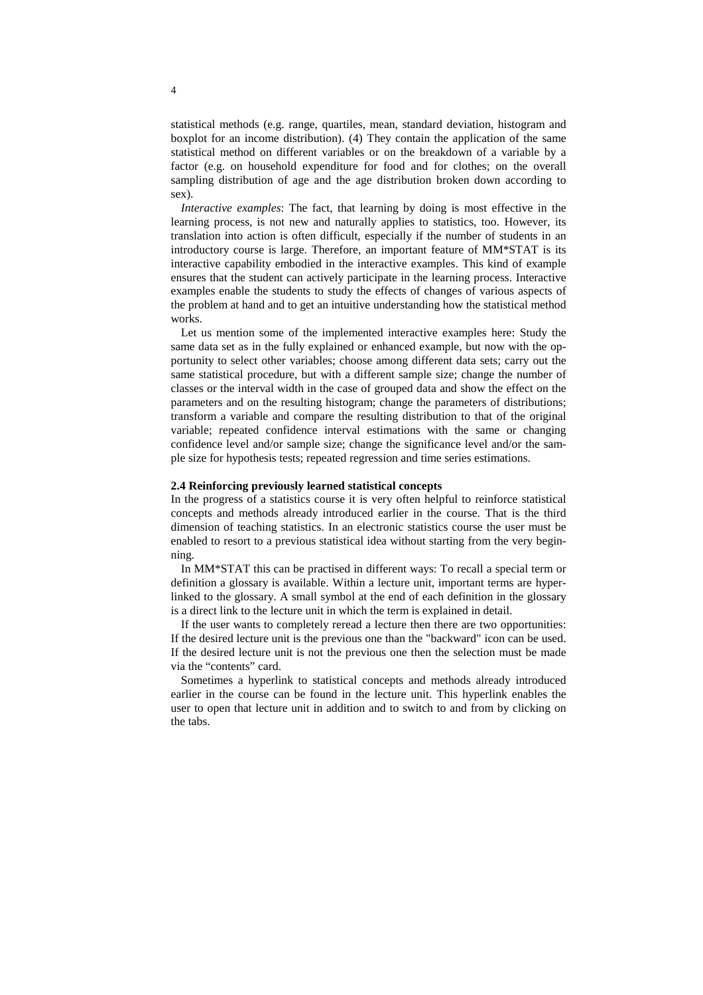statistical methods (e.g. range, quartiles, mean, standard deviation, histogram and boxplot for an income distribution). (4) They contain the application of the same statistical method on different variables or on the breakdown of a variable by a factor (e.g. on household expenditure for food and for clothes; on the overall sampling distribution of age and the age distribution broken down according to sex).

*Interactive examples*: The fact, that learning by doing is most effective in the learning process, is not new and naturally applies to statistics, too. However, its translation into action is often difficult, especially if the number of students in an introductory course is large. Therefore, an important feature of MM\*STAT is its interactive capability embodied in the interactive examples. This kind of example ensures that the student can actively participate in the learning process. Interactive examples enable the students to study the effects of changes of various aspects of the problem at hand and to get an intuitive understanding how the statistical method works.

Let us mention some of the implemented interactive examples here: Study the same data set as in the fully explained or enhanced example, but now with the opportunity to select other variables; choose among different data sets; carry out the same statistical procedure, but with a different sample size; change the number of classes or the interval width in the case of grouped data and show the effect on the parameters and on the resulting histogram; change the parameters of distributions; transform a variable and compare the resulting distribution to that of the original variable; repeated confidence interval estimations with the same or changing confidence level and/or sample size; change the significance level and/or the sample size for hypothesis tests; repeated regression and time series estimations.

#### **2.4 Reinforcing previously learned statistical concepts**

In the progress of a statistics course it is very often helpful to reinforce statistical concepts and methods already introduced earlier in the course. That is the third dimension of teaching statistics. In an electronic statistics course the user must be enabled to resort to a previous statistical idea without starting from the very beginning.

In MM\*STAT this can be practised in different ways: To recall a special term or definition a glossary is available. Within a lecture unit, important terms are hyperlinked to the glossary. A small symbol at the end of each definition in the glossary is a direct link to the lecture unit in which the term is explained in detail.

If the user wants to completely reread a lecture then there are two opportunities: If the desired lecture unit is the previous one than the "backward" icon can be used. If the desired lecture unit is not the previous one then the selection must be made via the "contents" card.

Sometimes a hyperlink to statistical concepts and methods already introduced earlier in the course can be found in the lecture unit. This hyperlink enables the user to open that lecture unit in addition and to switch to and from by clicking on the tabs.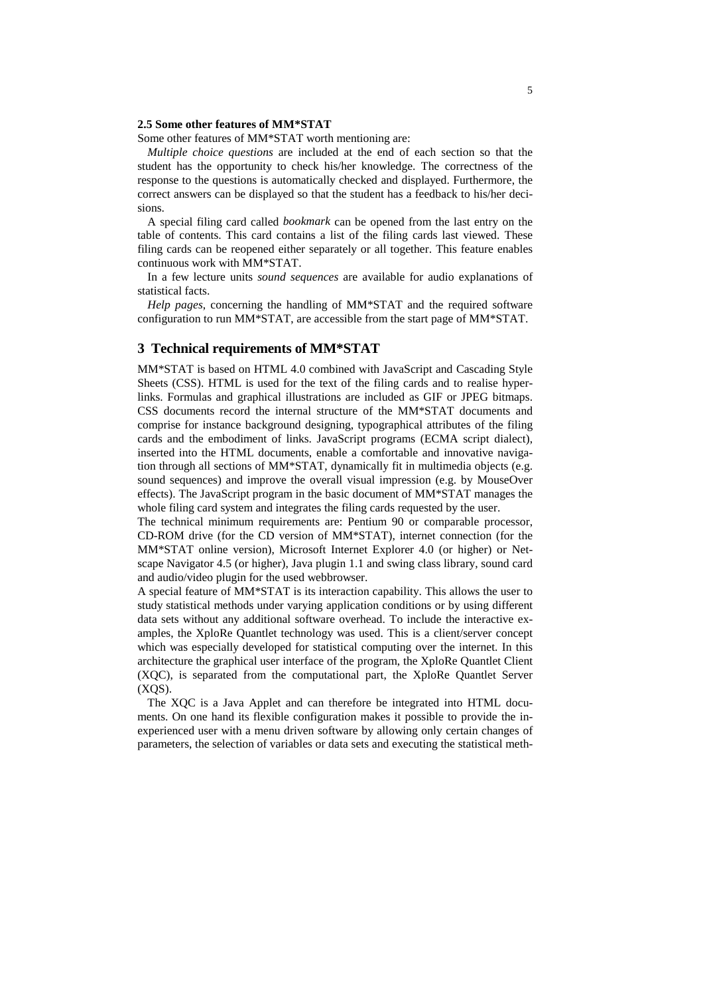#### **2.5 Some other features of MM\*STAT**

Some other features of MM\*STAT worth mentioning are:

*Multiple choice questions* are included at the end of each section so that the student has the opportunity to check his/her knowledge. The correctness of the response to the questions is automatically checked and displayed. Furthermore, the correct answers can be displayed so that the student has a feedback to his/her decisions.

A special filing card called *bookmark* can be opened from the last entry on the table of contents. This card contains a list of the filing cards last viewed. These filing cards can be reopened either separately or all together. This feature enables continuous work with MM\*STAT.

In a few lecture units *sound sequences* are available for audio explanations of statistical facts.

*Help pages*, concerning the handling of MM\*STAT and the required software configuration to run MM\*STAT, are accessible from the start page of MM\*STAT.

# **3 Technical requirements of MM\*STAT**

MM\*STAT is based on HTML 4.0 combined with JavaScript and Cascading Style Sheets (CSS). HTML is used for the text of the filing cards and to realise hyperlinks. Formulas and graphical illustrations are included as GIF or JPEG bitmaps. CSS documents record the internal structure of the MM\*STAT documents and comprise for instance background designing, typographical attributes of the filing cards and the embodiment of links. JavaScript programs (ECMA script dialect), inserted into the HTML documents, enable a comfortable and innovative navigation through all sections of MM\*STAT, dynamically fit in multimedia objects (e.g. sound sequences) and improve the overall visual impression (e.g. by MouseOver effects). The JavaScript program in the basic document of MM\*STAT manages the whole filing card system and integrates the filing cards requested by the user.

The technical minimum requirements are: Pentium 90 or comparable processor, CD-ROM drive (for the CD version of MM\*STAT), internet connection (for the MM\*STAT online version), Microsoft Internet Explorer 4.0 (or higher) or Netscape Navigator 4.5 (or higher), Java plugin 1.1 and swing class library, sound card and audio/video plugin for the used webbrowser.

A special feature of MM\*STAT is its interaction capability. This allows the user to study statistical methods under varying application conditions or by using different data sets without any additional software overhead. To include the interactive examples, the XploRe Quantlet technology was used. This is a client/server concept which was especially developed for statistical computing over the internet. In this architecture the graphical user interface of the program, the XploRe Quantlet Client (XQC), is separated from the computational part, the XploRe Quantlet Server  $(XOS)$ .

The XQC is a Java Applet and can therefore be integrated into HTML documents. On one hand its flexible configuration makes it possible to provide the inexperienced user with a menu driven software by allowing only certain changes of parameters, the selection of variables or data sets and executing the statistical meth